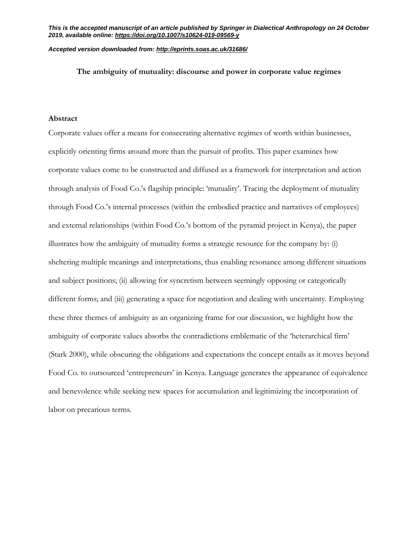### *Accepted version downloaded from: <http://eprints.soas.ac.uk/31686/>*

# **The ambiguity of mutuality: discourse and power in corporate value regimes**

### **Abstract**

Corporate values offer a means for consecrating alternative regimes of worth within businesses, explicitly orienting firms around more than the pursuit of profits. This paper examines how corporate values come to be constructed and diffused as a framework for interpretation and action through analysis of Food Co.'s flagship principle: 'mutuality'. Tracing the deployment of mutuality through Food Co.'s internal processes (within the embodied practice and narratives of employees) and external relationships (within Food Co.'s bottom of the pyramid project in Kenya), the paper illustrates how the ambiguity of mutuality forms a strategic resource for the company by: (i) sheltering multiple meanings and interpretations, thus enabling resonance among different situations and subject positions; (ii) allowing for syncretism between seemingly opposing or categorically different forms; and (iii) generating a space for negotiation and dealing with uncertainty. Employing these three themes of ambiguity as an organizing frame for our discussion, we highlight how the ambiguity of corporate values absorbs the contradictions emblematic of the 'heterarchical firm' (Stark 2000), while obscuring the obligations and expectations the concept entails as it moves beyond Food Co. to outsourced 'entrepreneurs' in Kenya. Language generates the appearance of equivalence and benevolence while seeking new spaces for accumulation and legitimizing the incorporation of labor on precarious terms.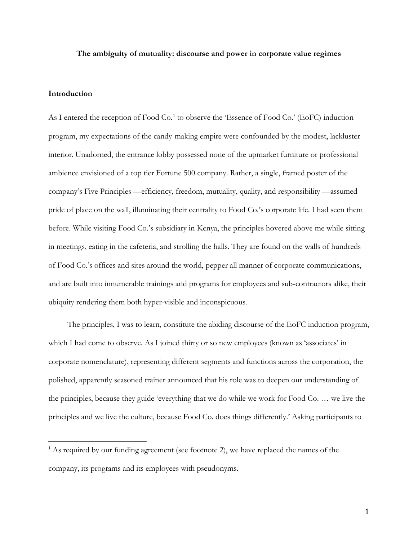### **The ambiguity of mutuality: discourse and power in corporate value regimes**

# **Introduction**

 $\overline{a}$ 

As I entered the reception of Food Co.<sup>[1](#page-1-0)</sup> to observe the 'Essence of Food Co.' (EoFC) induction program, my expectations of the candy-making empire were confounded by the modest, lackluster interior. Unadorned, the entrance lobby possessed none of the upmarket furniture or professional ambience envisioned of a top tier Fortune 500 company. Rather, a single, framed poster of the company's Five Principles —efficiency, freedom, mutuality, quality, and responsibility —assumed pride of place on the wall, illuminating their centrality to Food Co.'s corporate life. I had seen them before. While visiting Food Co.'s subsidiary in Kenya, the principles hovered above me while sitting in meetings, eating in the cafeteria, and strolling the halls. They are found on the walls of hundreds of Food Co.'s offices and sites around the world, pepper all manner of corporate communications, and are built into innumerable trainings and programs for employees and sub-contractors alike, their ubiquity rendering them both hyper-visible and inconspicuous.

The principles, I was to learn, constitute the abiding discourse of the EoFC induction program, which I had come to observe. As I joined thirty or so new employees (known as 'associates' in corporate nomenclature), representing different segments and functions across the corporation, the polished, apparently seasoned trainer announced that his role was to deepen our understanding of the principles, because they guide 'everything that we do while we work for Food Co. … we live the principles and we live the culture, because Food Co. does things differently.' Asking participants to

<span id="page-1-0"></span> $<sup>1</sup>$  As required by our funding agreement (see footnote 2), we have replaced the names of the</sup> company, its programs and its employees with pseudonyms.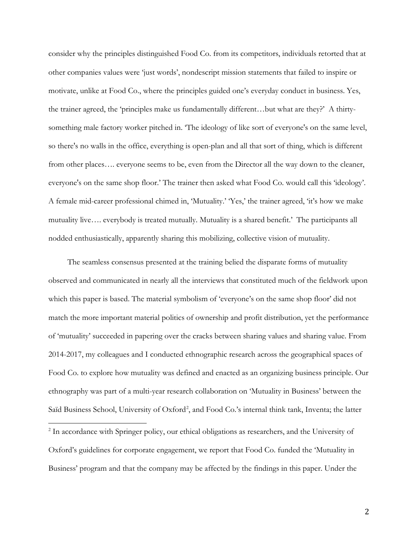consider why the principles distinguished Food Co. from its competitors, individuals retorted that at other companies values were 'just words', nondescript mission statements that failed to inspire or motivate, unlike at Food Co., where the principles guided one's everyday conduct in business. Yes, the trainer agreed, the 'principles make us fundamentally different…but what are they?' A thirtysomething male factory worker pitched in. 'The ideology of like sort of everyone's on the same level, so there's no walls in the office, everything is open-plan and all that sort of thing, which is different from other places…. everyone seems to be, even from the Director all the way down to the cleaner, everyone's on the same shop floor.' The trainer then asked what Food Co. would call this 'ideology'. A female mid-career professional chimed in, 'Mutuality.' 'Yes,' the trainer agreed, 'it's how we make mutuality live…. everybody is treated mutually. Mutuality is a shared benefit.' The participants all nodded enthusiastically, apparently sharing this mobilizing, collective vision of mutuality.

The seamless consensus presented at the training belied the disparate forms of mutuality observed and communicated in nearly all the interviews that constituted much of the fieldwork upon which this paper is based. The material symbolism of 'everyone's on the same shop floor' did not match the more important material politics of ownership and profit distribution, yet the performance of 'mutuality' succeeded in papering over the cracks between sharing values and sharing value. From 2014-2017, my colleagues and I conducted ethnographic research across the geographical spaces of Food Co. to explore how mutuality was defined and enacted as an organizing business principle. Our ethnography was part of a multi-year research collaboration on 'Mutuality in Business' between the Saïd Business School, University of Oxford<sup>[2](#page-2-0)</sup>, and Food Co.'s internal think tank, Inventa; the latter

<span id="page-2-0"></span><sup>&</sup>lt;sup>2</sup> In accordance with Springer policy, our ethical obligations as researchers, and the University of Oxford's guidelines for corporate engagement, we report that Food Co. funded the 'Mutuality in Business' program and that the company may be affected by the findings in this paper. Under the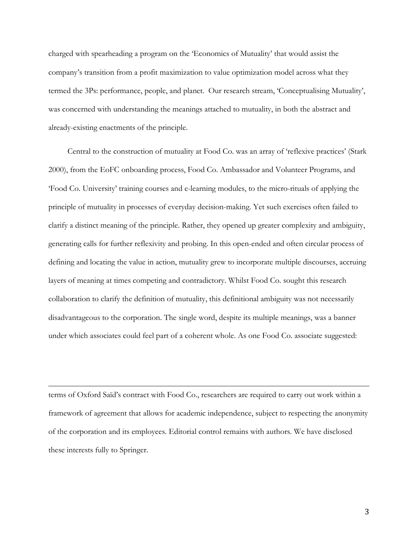charged with spearheading a program on the 'Economics of Mutuality' that would assist the company's transition from a profit maximization to value optimization model across what they termed the 3Ps: performance, people, and planet. Our research stream, 'Conceptualising Mutuality', was concerned with understanding the meanings attached to mutuality, in both the abstract and already-existing enactments of the principle.

Central to the construction of mutuality at Food Co. was an array of 'reflexive practices' (Stark 2000), from the EoFC onboarding process, Food Co. Ambassador and Volunteer Programs, and 'Food Co. University' training courses and e-learning modules, to the micro-rituals of applying the principle of mutuality in processes of everyday decision-making. Yet such exercises often failed to clarify a distinct meaning of the principle. Rather, they opened up greater complexity and ambiguity, generating calls for further reflexivity and probing. In this open-ended and often circular process of defining and locating the value in action, mutuality grew to incorporate multiple discourses, accruing layers of meaning at times competing and contradictory. Whilst Food Co. sought this research collaboration to clarify the definition of mutuality, this definitional ambiguity was not necessarily disadvantageous to the corporation. The single word, despite its multiple meanings, was a banner under which associates could feel part of a coherent whole. As one Food Co. associate suggested:

terms of Oxford Saïd's contract with Food Co., researchers are required to carry out work within a framework of agreement that allows for academic independence, subject to respecting the anonymity of the corporation and its employees. Editorial control remains with authors. We have disclosed these interests fully to Springer.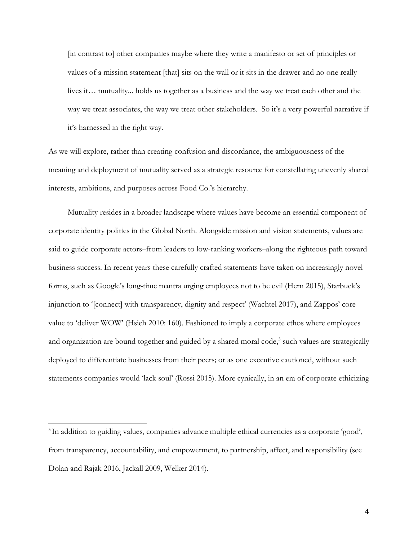[in contrast to] other companies maybe where they write a manifesto or set of principles or values of a mission statement [that] sits on the wall or it sits in the drawer and no one really lives it… mutuality... holds us together as a business and the way we treat each other and the way we treat associates, the way we treat other stakeholders. So it's a very powerful narrative if it's harnessed in the right way.

As we will explore, rather than creating confusion and discordance, the ambiguousness of the meaning and deployment of mutuality served as a strategic resource for constellating unevenly shared interests, ambitions, and purposes across Food Co.'s hierarchy.

Mutuality resides in a broader landscape where values have become an essential component of corporate identity politics in the Global North. Alongside mission and vision statements, values are said to guide corporate actors–from leaders to low-ranking workers–along the righteous path toward business success. In recent years these carefully crafted statements have taken on increasingly novel forms, such as Google's long-time mantra urging employees not to be evil (Hern 2015), Starbuck's injunction to '[connect] with transparency, dignity and respect' (Wachtel 2017), and Zappos' core value to 'deliver WOW' (Hsieh 2010: 160). Fashioned to imply a corporate ethos where employees and organization are bound together and guided by a shared moral code,<sup>[3](#page-4-0)</sup> such values are strategically deployed to differentiate businesses from their peers; or as one executive cautioned, without such statements companies would 'lack soul' (Rossi 2015). More cynically, in an era of corporate ethicizing

<span id="page-4-0"></span><sup>&</sup>lt;sup>3</sup> In addition to guiding values, companies advance multiple ethical currencies as a corporate 'good', from transparency, accountability, and empowerment, to partnership, affect, and responsibility (see Dolan and Rajak 2016, Jackall 2009, Welker 2014).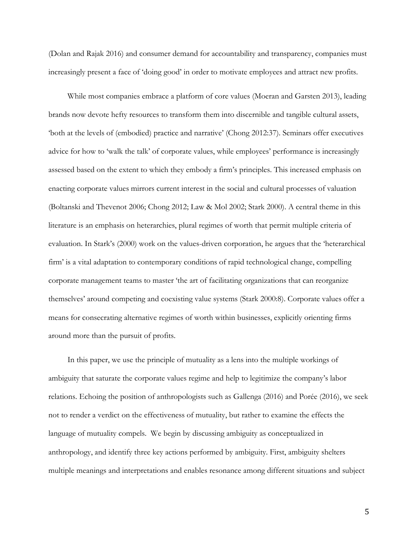(Dolan and Rajak 2016) and consumer demand for accountability and transparency, companies must increasingly present a face of 'doing good' in order to motivate employees and attract new profits.

While most companies embrace a platform of core values (Moeran and Garsten 2013), leading brands now devote hefty resources to transform them into discernible and tangible cultural assets, 'both at the levels of (embodied) practice and narrative' (Chong 2012:37). Seminars offer executives advice for how to 'walk the talk' of corporate values, while employees' performance is increasingly assessed based on the extent to which they embody a firm's principles. This increased emphasis on enacting corporate values mirrors current interest in the social and cultural processes of valuation (Boltanski and Thevenot 2006; Chong 2012; Law & Mol 2002; Stark 2000). A central theme in this literature is an emphasis on heterarchies, plural regimes of worth that permit multiple criteria of evaluation. In Stark's (2000) work on the values-driven corporation, he argues that the 'heterarchical firm' is a vital adaptation to contemporary conditions of rapid technological change, compelling corporate management teams to master 'the art of facilitating organizations that can reorganize themselves' around competing and coexisting value systems (Stark 2000:8). Corporate values offer a means for consecrating alternative regimes of worth within businesses, explicitly orienting firms around more than the pursuit of profits.

In this paper, we use the principle of mutuality as a lens into the multiple workings of ambiguity that saturate the corporate values regime and help to legitimize the company's labor relations. Echoing the position of anthropologists such as Gallenga (2016) and Porée (2016), we seek not to render a verdict on the effectiveness of mutuality, but rather to examine the effects the language of mutuality compels. We begin by discussing ambiguity as conceptualized in anthropology, and identify three key actions performed by ambiguity. First, ambiguity shelters multiple meanings and interpretations and enables resonance among different situations and subject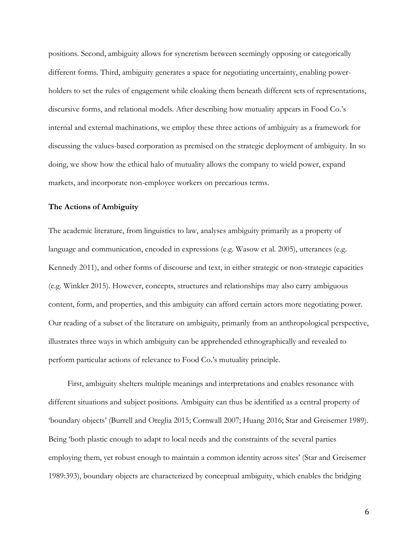positions. Second, ambiguity allows for syncretism between seemingly opposing or categorically different forms. Third, ambiguity generates a space for negotiating uncertainty, enabling powerholders to set the rules of engagement while cloaking them beneath different sets of representations, discursive forms, and relational models. After describing how mutuality appears in Food Co.'s internal and external machinations, we employ these three actions of ambiguity as a framework for discussing the values-based corporation as premised on the strategic deployment of ambiguity. In so doing, we show how the ethical halo of mutuality allows the company to wield power, expand markets, and incorporate non-employee workers on precarious terms.

# **The Actions of Ambiguity**

The academic literature, from linguistics to law, analyses ambiguity primarily as a property of language and communication, encoded in expressions (e.g. Wasow et al. 2005), utterances (e.g. Kennedy 2011), and other forms of discourse and text, in either strategic or non-strategic capacities (e.g. Winkler 2015). However, concepts, structures and relationships may also carry ambiguous content, form, and properties, and this ambiguity can afford certain actors more negotiating power. Our reading of a subset of the literature on ambiguity, primarily from an anthropological perspective, illustrates three ways in which ambiguity can be apprehended ethnographically and revealed to perform particular actions of relevance to Food Co.'s mutuality principle.

First, ambiguity shelters multiple meanings and interpretations and enables resonance with different situations and subject positions. Ambiguity can thus be identified as a central property of 'boundary objects' (Burrell and Oreglia 2015; Cornwall 2007; Huang 2016; Star and Greisemer 1989). Being 'both plastic enough to adapt to local needs and the constraints of the several parties employing them, yet robust enough to maintain a common identity across sites' (Star and Greisemer 1989:393), boundary objects are characterized by conceptual ambiguity, which enables the bridging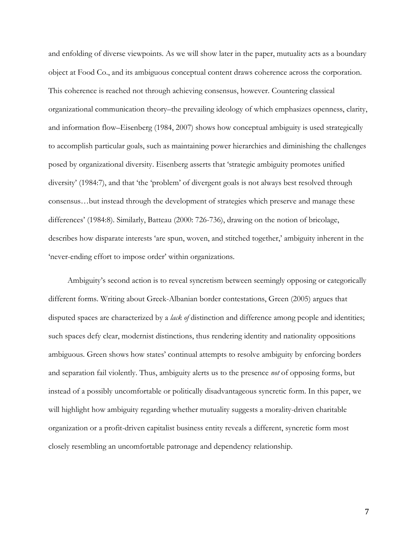and enfolding of diverse viewpoints. As we will show later in the paper, mutuality acts as a boundary object at Food Co., and its ambiguous conceptual content draws coherence across the corporation. This coherence is reached not through achieving consensus, however. Countering classical organizational communication theory–the prevailing ideology of which emphasizes openness, clarity, and information flow–Eisenberg (1984, 2007) shows how conceptual ambiguity is used strategically to accomplish particular goals, such as maintaining power hierarchies and diminishing the challenges posed by organizational diversity. Eisenberg asserts that 'strategic ambiguity promotes unified diversity' (1984:7), and that 'the 'problem' of divergent goals is not always best resolved through consensus…but instead through the development of strategies which preserve and manage these differences' (1984:8). Similarly, Batteau (2000: 726-736), drawing on the notion of bricolage, describes how disparate interests 'are spun, woven, and stitched together,' ambiguity inherent in the 'never-ending effort to impose order' within organizations.

Ambiguity's second action is to reveal syncretism between seemingly opposing or categorically different forms. Writing about Greek-Albanian border contestations, Green (2005) argues that disputed spaces are characterized by a *lack of* distinction and difference among people and identities; such spaces defy clear, modernist distinctions, thus rendering identity and nationality oppositions ambiguous. Green shows how states' continual attempts to resolve ambiguity by enforcing borders and separation fail violently. Thus, ambiguity alerts us to the presence *not* of opposing forms, but instead of a possibly uncomfortable or politically disadvantageous syncretic form. In this paper, we will highlight how ambiguity regarding whether mutuality suggests a morality-driven charitable organization or a profit-driven capitalist business entity reveals a different, syncretic form most closely resembling an uncomfortable patronage and dependency relationship.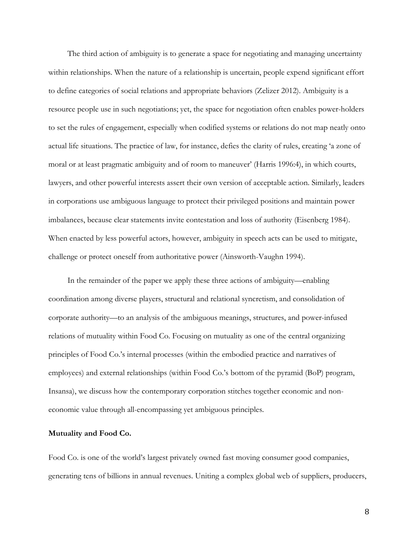The third action of ambiguity is to generate a space for negotiating and managing uncertainty within relationships. When the nature of a relationship is uncertain, people expend significant effort to define categories of social relations and appropriate behaviors (Zelizer 2012). Ambiguity is a resource people use in such negotiations; yet, the space for negotiation often enables power-holders to set the rules of engagement, especially when codified systems or relations do not map neatly onto actual life situations. The practice of law, for instance, defies the clarity of rules, creating 'a zone of moral or at least pragmatic ambiguity and of room to maneuver' (Harris 1996:4), in which courts, lawyers, and other powerful interests assert their own version of acceptable action. Similarly, leaders in corporations use ambiguous language to protect their privileged positions and maintain power imbalances, because clear statements invite contestation and loss of authority (Eisenberg 1984). When enacted by less powerful actors, however, ambiguity in speech acts can be used to mitigate, challenge or protect oneself from authoritative power (Ainsworth-Vaughn 1994).

In the remainder of the paper we apply these three actions of ambiguity—enabling coordination among diverse players, structural and relational syncretism, and consolidation of corporate authority—to an analysis of the ambiguous meanings, structures, and power-infused relations of mutuality within Food Co. Focusing on mutuality as one of the central organizing principles of Food Co.'s internal processes (within the embodied practice and narratives of employees) and external relationships (within Food Co.'s bottom of the pyramid (BoP) program, Insansa), we discuss how the contemporary corporation stitches together economic and noneconomic value through all-encompassing yet ambiguous principles.

# **Mutuality and Food Co.**

Food Co. is one of the world's largest privately owned fast moving consumer good companies, generating tens of billions in annual revenues. Uniting a complex global web of suppliers, producers,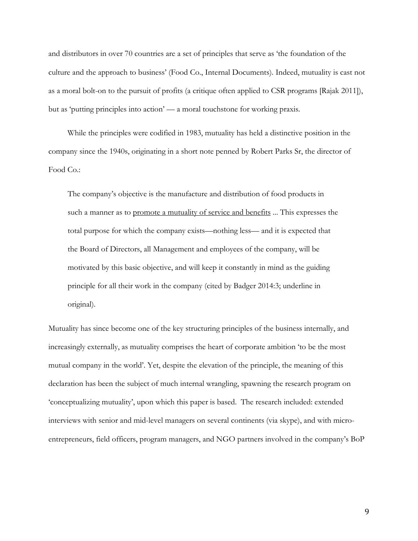and distributors in over 70 countries are a set of principles that serve as 'the foundation of the culture and the approach to business' (Food Co., Internal Documents). Indeed, mutuality is cast not as a moral bolt-on to the pursuit of profits (a critique often applied to CSR programs [Rajak 2011]), but as 'putting principles into action' — a moral touchstone for working praxis.

While the principles were codified in 1983, mutuality has held a distinctive position in the company since the 1940s, originating in a short note penned by Robert Parks Sr, the director of Food Co.:

The company's objective is the manufacture and distribution of food products in such a manner as to promote a mutuality of service and benefits ... This expresses the total purpose for which the company exists—nothing less— and it is expected that the Board of Directors, all Management and employees of the company, will be motivated by this basic objective, and will keep it constantly in mind as the guiding principle for all their work in the company (cited by Badger 2014:3; underline in original).

Mutuality has since become one of the key structuring principles of the business internally, and increasingly externally, as mutuality comprises the heart of corporate ambition 'to be the most mutual company in the world'. Yet, despite the elevation of the principle, the meaning of this declaration has been the subject of much internal wrangling, spawning the research program on 'conceptualizing mutuality', upon which this paper is based. The research included: extended interviews with senior and mid-level managers on several continents (via skype), and with microentrepreneurs, field officers, program managers, and NGO partners involved in the company's BoP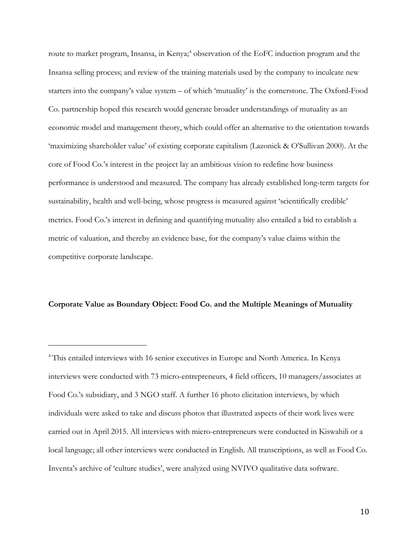route to market program, Insansa, in Kenya;<sup>[4](#page-10-0)</sup> observation of the EoFC induction program and the Insansa selling process; and review of the training materials used by the company to inculcate new starters into the company's value system – of which 'mutuality' is the cornerstone. The Oxford-Food Co. partnership hoped this research would generate broader understandings of mutuality as an economic model and management theory, which could offer an alternative to the orientation towards 'maximizing shareholder value' of existing corporate capitalism (Lazonick & O'Sullivan 2000). At the core of Food Co.'s interest in the project lay an ambitious vision to redefine how business performance is understood and measured. The company has already established long-term targets for sustainability, health and well-being, whose progress is measured against 'scientifically credible' metrics. Food Co.'s interest in defining and quantifying mutuality also entailed a bid to establish a metric of valuation, and thereby an evidence base, for the company's value claims within the competitive corporate landscape.

# **Corporate Value as Boundary Object: Food Co. and the Multiple Meanings of Mutuality**

<span id="page-10-0"></span><sup>4</sup> This entailed interviews with 16 senior executives in Europe and North America. In Kenya interviews were conducted with 73 micro-entrepreneurs, 4 field officers, 10 managers/associates at Food Co.'s subsidiary, and 3 NGO staff. A further 16 photo elicitation interviews, by which individuals were asked to take and discuss photos that illustrated aspects of their work lives were carried out in April 2015. All interviews with micro-entrepreneurs were conducted in Kiswahili or a local language; all other interviews were conducted in English. All transcriptions, as well as Food Co. Inventa's archive of 'culture studies', were analyzed using NVIVO qualitative data software.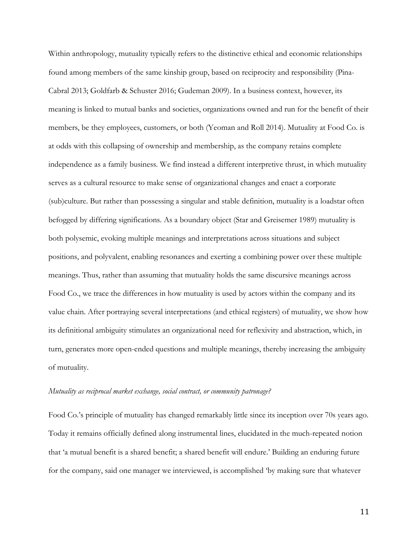Within anthropology, mutuality typically refers to the distinctive ethical and economic relationships found among members of the same kinship group, based on reciprocity and responsibility (Pina-Cabral 2013; Goldfarb & Schuster 2016; Gudeman 2009). In a business context, however, its meaning is linked to mutual banks and societies, organizations owned and run for the benefit of their members, be they employees, customers, or both (Yeoman and Roll 2014). Mutuality at Food Co. is at odds with this collapsing of ownership and membership, as the company retains complete independence as a family business. We find instead a different interpretive thrust, in which mutuality serves as a cultural resource to make sense of organizational changes and enact a corporate (sub)culture. But rather than possessing a singular and stable definition, mutuality is a loadstar often befogged by differing significations. As a boundary object (Star and Greisemer 1989) mutuality is both polysemic, evoking multiple meanings and interpretations across situations and subject positions, and polyvalent, enabling resonances and exerting a combining power over these multiple meanings. Thus, rather than assuming that mutuality holds the same discursive meanings across Food Co., we trace the differences in how mutuality is used by actors within the company and its value chain. After portraying several interpretations (and ethical registers) of mutuality, we show how its definitional ambiguity stimulates an organizational need for reflexivity and abstraction, which, in turn, generates more open-ended questions and multiple meanings, thereby increasing the ambiguity of mutuality.

# *Mutuality as reciprocal market exchange, social contract, or community patronage?*

Food Co.'s principle of mutuality has changed remarkably little since its inception over 70s years ago. Today it remains officially defined along instrumental lines, elucidated in the much-repeated notion that 'a mutual benefit is a shared benefit; a shared benefit will endure.' Building an enduring future for the company, said one manager we interviewed, is accomplished 'by making sure that whatever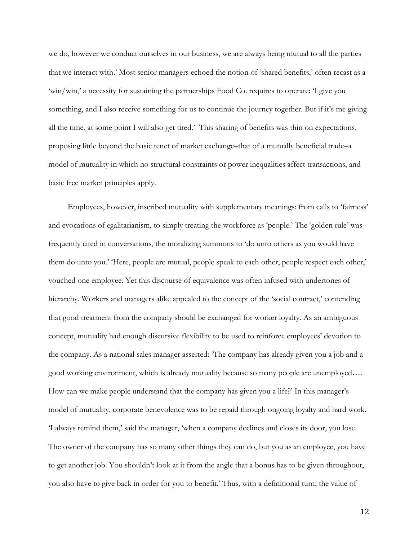we do, however we conduct ourselves in our business, we are always being mutual to all the parties that we interact with.' Most senior managers echoed the notion of 'shared benefits,' often recast as a 'win/win,' a necessity for sustaining the partnerships Food Co. requires to operate: 'I give you something, and I also receive something for us to continue the journey together. But if it's me giving all the time, at some point I will also get tired.' This sharing of benefits was thin on expectations, proposing little beyond the basic tenet of market exchange–that of a mutually beneficial trade–a model of mutuality in which no structural constraints or power inequalities affect transactions, and basic free market principles apply.

Employees, however, inscribed mutuality with supplementary meanings: from calls to 'fairness' and evocations of egalitarianism, to simply treating the workforce as 'people.' The 'golden rule' was frequently cited in conversations, the moralizing summons to 'do unto others as you would have them do unto you.' 'Here, people are mutual, people speak to each other, people respect each other,' vouched one employee. Yet this discourse of equivalence was often infused with undertones of hierarchy. Workers and managers alike appealed to the concept of the 'social contract,' contending that good treatment from the company should be exchanged for worker loyalty. As an ambiguous concept, mutuality had enough discursive flexibility to be used to reinforce employees' devotion to the company. As a national sales manager asserted: 'The company has already given you a job and a good working environment, which is already mutuality because so many people are unemployed…. How can we make people understand that the company has given you a life?' In this manager's model of mutuality, corporate benevolence was to be repaid through ongoing loyalty and hard work. 'I always remind them,' said the manager, 'when a company declines and closes its door, you lose. The owner of the company has so many other things they can do, but you as an employee, you have to get another job. You shouldn't look at it from the angle that a bonus has to be given throughout, you also have to give back in order for you to benefit.' Thus, with a definitional turn, the value of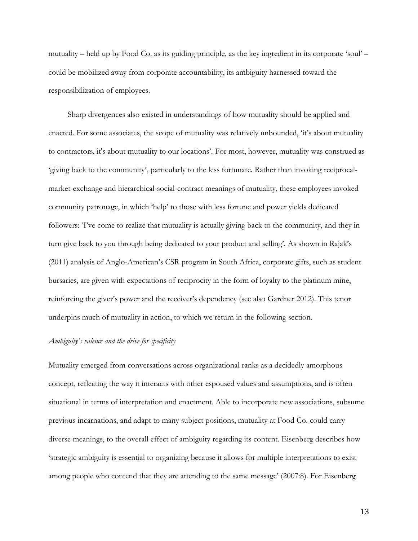mutuality – held up by Food Co. as its guiding principle, as the key ingredient in its corporate 'soul' – could be mobilized away from corporate accountability, its ambiguity harnessed toward the responsibilization of employees.

Sharp divergences also existed in understandings of how mutuality should be applied and enacted. For some associates, the scope of mutuality was relatively unbounded, 'it's about mutuality to contractors, it's about mutuality to our locations'. For most, however, mutuality was construed as 'giving back to the community', particularly to the less fortunate. Rather than invoking reciprocalmarket-exchange and hierarchical-social-contract meanings of mutuality, these employees invoked community patronage, in which 'help' to those with less fortune and power yields dedicated followers: 'I've come to realize that mutuality is actually giving back to the community, and they in turn give back to you through being dedicated to your product and selling'. As shown in Rajak's (2011) analysis of Anglo-American's CSR program in South Africa, corporate gifts, such as student bursaries, are given with expectations of reciprocity in the form of loyalty to the platinum mine, reinforcing the giver's power and the receiver's dependency (see also Gardner 2012). This tenor underpins much of mutuality in action, to which we return in the following section.

### *Ambiguity's valence and the drive for specificity*

Mutuality emerged from conversations across organizational ranks as a decidedly amorphous concept, reflecting the way it interacts with other espoused values and assumptions, and is often situational in terms of interpretation and enactment. Able to incorporate new associations, subsume previous incarnations, and adapt to many subject positions, mutuality at Food Co. could carry diverse meanings, to the overall effect of ambiguity regarding its content. Eisenberg describes how 'strategic ambiguity is essential to organizing because it allows for multiple interpretations to exist among people who contend that they are attending to the same message' (2007:8). For Eisenberg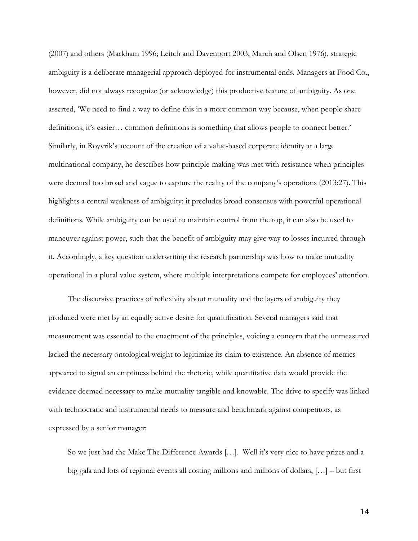(2007) and others (Markham 1996; Leitch and Davenport 2003; March and Olsen 1976), strategic ambiguity is a deliberate managerial approach deployed for instrumental ends. Managers at Food Co., however, did not always recognize (or acknowledge) this productive feature of ambiguity. As one asserted, 'We need to find a way to define this in a more common way because, when people share definitions, it's easier… common definitions is something that allows people to connect better.' Similarly, in Royvrik's account of the creation of a value-based corporate identity at a large multinational company, he describes how principle-making was met with resistance when principles were deemed too broad and vague to capture the reality of the company's operations (2013:27). This highlights a central weakness of ambiguity: it precludes broad consensus with powerful operational definitions. While ambiguity can be used to maintain control from the top, it can also be used to maneuver against power, such that the benefit of ambiguity may give way to losses incurred through it. Accordingly, a key question underwriting the research partnership was how to make mutuality operational in a plural value system, where multiple interpretations compete for employees' attention.

The discursive practices of reflexivity about mutuality and the layers of ambiguity they produced were met by an equally active desire for quantification. Several managers said that measurement was essential to the enactment of the principles, voicing a concern that the unmeasured lacked the necessary ontological weight to legitimize its claim to existence. An absence of metrics appeared to signal an emptiness behind the rhetoric, while quantitative data would provide the evidence deemed necessary to make mutuality tangible and knowable. The drive to specify was linked with technocratic and instrumental needs to measure and benchmark against competitors, as expressed by a senior manager:

So we just had the Make The Difference Awards […]. Well it's very nice to have prizes and a big gala and lots of regional events all costing millions and millions of dollars, […] – but first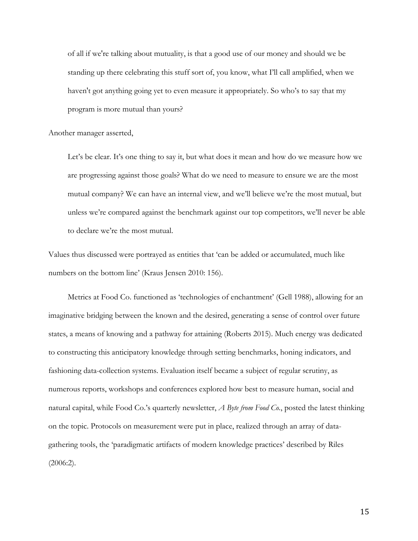of all if we're talking about mutuality, is that a good use of our money and should we be standing up there celebrating this stuff sort of, you know, what I'll call amplified, when we haven't got anything going yet to even measure it appropriately. So who's to say that my program is more mutual than yours?

Another manager asserted,

Let's be clear. It's one thing to say it, but what does it mean and how do we measure how we are progressing against those goals? What do we need to measure to ensure we are the most mutual company? We can have an internal view, and we'll believe we're the most mutual, but unless we're compared against the benchmark against our top competitors, we'll never be able to declare we're the most mutual.

Values thus discussed were portrayed as entities that 'can be added or accumulated, much like numbers on the bottom line' (Kraus Jensen 2010: 156).

Metrics at Food Co. functioned as 'technologies of enchantment' (Gell 1988), allowing for an imaginative bridging between the known and the desired, generating a sense of control over future states, a means of knowing and a pathway for attaining (Roberts 2015). Much energy was dedicated to constructing this anticipatory knowledge through setting benchmarks, honing indicators, and fashioning data-collection systems. Evaluation itself became a subject of regular scrutiny, as numerous reports, workshops and conferences explored how best to measure human, social and natural capital, while Food Co.'s quarterly newsletter, *A Byte from Food Co.*, posted the latest thinking on the topic. Protocols on measurement were put in place, realized through an array of datagathering tools, the 'paradigmatic artifacts of modern knowledge practices' described by Riles  $(2006:2)$ .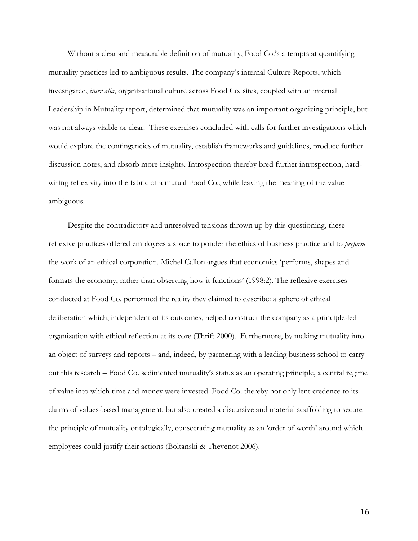Without a clear and measurable definition of mutuality, Food Co.'s attempts at quantifying mutuality practices led to ambiguous results. The company's internal Culture Reports, which investigated, *inter alia*, organizational culture across Food Co. sites, coupled with an internal Leadership in Mutuality report, determined that mutuality was an important organizing principle, but was not always visible or clear. These exercises concluded with calls for further investigations which would explore the contingencies of mutuality, establish frameworks and guidelines, produce further discussion notes, and absorb more insights. Introspection thereby bred further introspection, hardwiring reflexivity into the fabric of a mutual Food Co., while leaving the meaning of the value ambiguous.

Despite the contradictory and unresolved tensions thrown up by this questioning, these reflexive practices offered employees a space to ponder the ethics of business practice and to *perform* the work of an ethical corporation. Michel Callon argues that economics 'performs, shapes and formats the economy, rather than observing how it functions' (1998:2). The reflexive exercises conducted at Food Co. performed the reality they claimed to describe: a sphere of ethical deliberation which, independent of its outcomes, helped construct the company as a principle-led organization with ethical reflection at its core (Thrift 2000). Furthermore, by making mutuality into an object of surveys and reports – and, indeed, by partnering with a leading business school to carry out this research – Food Co. sedimented mutuality's status as an operating principle, a central regime of value into which time and money were invested. Food Co. thereby not only lent credence to its claims of values-based management, but also created a discursive and material scaffolding to secure the principle of mutuality ontologically, consecrating mutuality as an 'order of worth' around which employees could justify their actions (Boltanski & Thevenot 2006).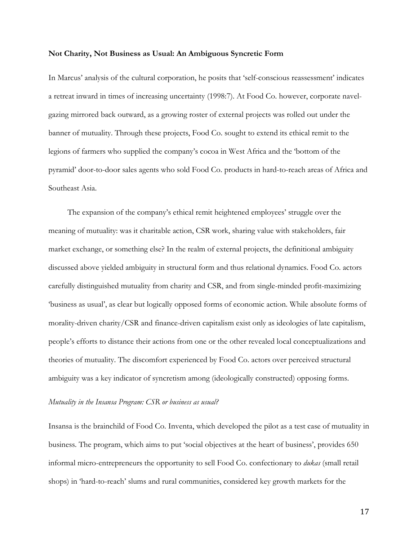#### **Not Charity, Not Business as Usual: An Ambiguous Syncretic Form**

In Marcus' analysis of the cultural corporation, he posits that 'self-conscious reassessment' indicates a retreat inward in times of increasing uncertainty (1998:7). At Food Co. however, corporate navelgazing mirrored back outward, as a growing roster of external projects was rolled out under the banner of mutuality. Through these projects, Food Co. sought to extend its ethical remit to the legions of farmers who supplied the company's cocoa in West Africa and the 'bottom of the pyramid' door-to-door sales agents who sold Food Co. products in hard-to-reach areas of Africa and Southeast Asia.

The expansion of the company's ethical remit heightened employees' struggle over the meaning of mutuality: was it charitable action, CSR work, sharing value with stakeholders, fair market exchange, or something else? In the realm of external projects, the definitional ambiguity discussed above yielded ambiguity in structural form and thus relational dynamics. Food Co. actors carefully distinguished mutuality from charity and CSR, and from single-minded profit-maximizing 'business as usual', as clear but logically opposed forms of economic action. While absolute forms of morality-driven charity/CSR and finance-driven capitalism exist only as ideologies of late capitalism, people's efforts to distance their actions from one or the other revealed local conceptualizations and theories of mutuality. The discomfort experienced by Food Co. actors over perceived structural ambiguity was a key indicator of syncretism among (ideologically constructed) opposing forms.

# *Mutuality in the Insansa Program: CSR or business as usual?*

Insansa is the brainchild of Food Co. Inventa, which developed the pilot as a test case of mutuality in business. The program, which aims to put 'social objectives at the heart of business', provides 650 informal micro-entrepreneurs the opportunity to sell Food Co. confectionary to *dukas* (small retail shops) in 'hard-to-reach' slums and rural communities, considered key growth markets for the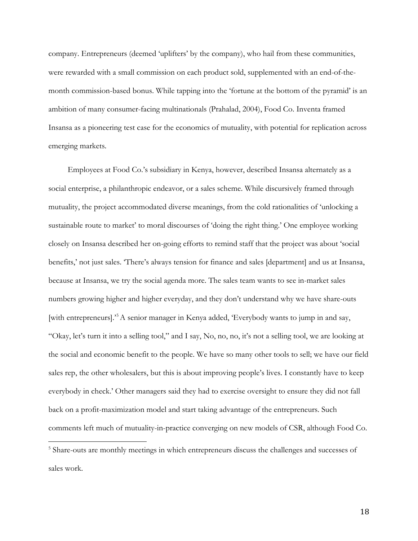company. Entrepreneurs (deemed 'uplifters' by the company), who hail from these communities, were rewarded with a small commission on each product sold, supplemented with an end-of-themonth commission-based bonus. While tapping into the 'fortune at the bottom of the pyramid' is an ambition of many consumer-facing multinationals (Prahalad, 2004), Food Co. Inventa framed Insansa as a pioneering test case for the economics of mutuality, with potential for replication across emerging markets.

Employees at Food Co.'s subsidiary in Kenya, however, described Insansa alternately as a social enterprise, a philanthropic endeavor, or a sales scheme. While discursively framed through mutuality, the project accommodated diverse meanings, from the cold rationalities of 'unlocking a sustainable route to market' to moral discourses of 'doing the right thing.' One employee working closely on Insansa described her on-going efforts to remind staff that the project was about 'social benefits,' not just sales. 'There's always tension for finance and sales [department] and us at Insansa, because at Insansa, we try the social agenda more. The sales team wants to see in-market sales numbers growing higher and higher everyday, and they don't understand why we have share-outs [with entrepreneurs].<sup>[5](#page-18-0)</sup>A senior manager in Kenya added, 'Everybody wants to jump in and say, "Okay, let's turn it into a selling tool," and I say, No, no, no, it's not a selling tool, we are looking at the social and economic benefit to the people. We have so many other tools to sell; we have our field sales rep, the other wholesalers, but this is about improving people's lives. I constantly have to keep everybody in check.' Other managers said they had to exercise oversight to ensure they did not fall back on a profit-maximization model and start taking advantage of the entrepreneurs. Such comments left much of mutuality-in-practice converging on new models of CSR, although Food Co.

<span id="page-18-0"></span><sup>&</sup>lt;sup>5</sup> Share-outs are monthly meetings in which entrepreneurs discuss the challenges and successes of sales work.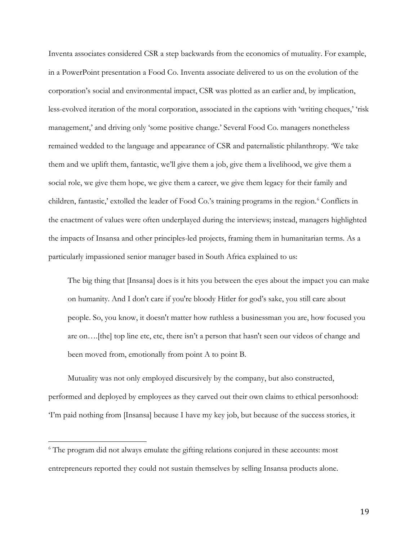Inventa associates considered CSR a step backwards from the economics of mutuality. For example, in a PowerPoint presentation a Food Co. Inventa associate delivered to us on the evolution of the corporation's social and environmental impact, CSR was plotted as an earlier and, by implication, less-evolved iteration of the moral corporation, associated in the captions with 'writing cheques,' 'risk management,' and driving only 'some positive change.' Several Food Co. managers nonetheless remained wedded to the language and appearance of CSR and paternalistic philanthropy. 'We take them and we uplift them, fantastic, we'll give them a job, give them a livelihood, we give them a social role, we give them hope, we give them a career, we give them legacy for their family and children, fantastic,' extolled the leader of Food Co.'s training programs in the region.<sup>[6](#page-19-0)</sup> Conflicts in the enactment of values were often underplayed during the interviews; instead, managers highlighted the impacts of Insansa and other principles-led projects, framing them in humanitarian terms. As a particularly impassioned senior manager based in South Africa explained to us:

The big thing that [Insansa] does is it hits you between the eyes about the impact you can make on humanity. And I don't care if you're bloody Hitler for god's sake, you still care about people. So, you know, it doesn't matter how ruthless a businessman you are, how focused you are on….[the] top line etc, etc, there isn't a person that hasn't seen our videos of change and been moved from, emotionally from point A to point B.

Mutuality was not only employed discursively by the company, but also constructed, performed and deployed by employees as they carved out their own claims to ethical personhood: 'I'm paid nothing from [Insansa] because I have my key job, but because of the success stories, it

<span id="page-19-0"></span><sup>&</sup>lt;sup>6</sup> The program did not always emulate the gifting relations conjured in these accounts: most entrepreneurs reported they could not sustain themselves by selling Insansa products alone.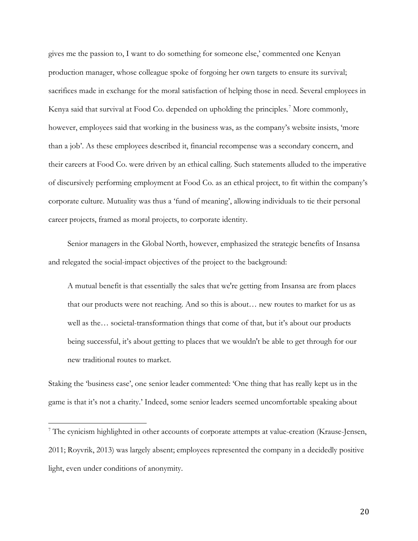gives me the passion to, I want to do something for someone else,' commented one Kenyan production manager, whose colleague spoke of forgoing her own targets to ensure its survival; sacrifices made in exchange for the moral satisfaction of helping those in need. Several employees in Kenya said that survival at Food Co. depended on upholding the principles.<sup>[7](#page-20-0)</sup> More commonly, however, employees said that working in the business was, as the company's website insists, 'more than a job'. As these employees described it, financial recompense was a secondary concern, and their careers at Food Co. were driven by an ethical calling. Such statements alluded to the imperative of discursively performing employment at Food Co. as an ethical project, to fit within the company's corporate culture. Mutuality was thus a 'fund of meaning', allowing individuals to tie their personal career projects, framed as moral projects, to corporate identity.

Senior managers in the Global North, however, emphasized the strategic benefits of Insansa and relegated the social-impact objectives of the project to the background:

A mutual benefit is that essentially the sales that we're getting from Insansa are from places that our products were not reaching. And so this is about… new routes to market for us as well as the… societal-transformation things that come of that, but it's about our products being successful, it's about getting to places that we wouldn't be able to get through for our new traditional routes to market.

Staking the 'business case', one senior leader commented: 'One thing that has really kept us in the game is that it's not a charity.' Indeed, some senior leaders seemed uncomfortable speaking about

<span id="page-20-0"></span><sup>7</sup> The cynicism highlighted in other accounts of corporate attempts at value-creation (Krause-Jensen, 2011; Royvrik, 2013) was largely absent; employees represented the company in a decidedly positive light, even under conditions of anonymity.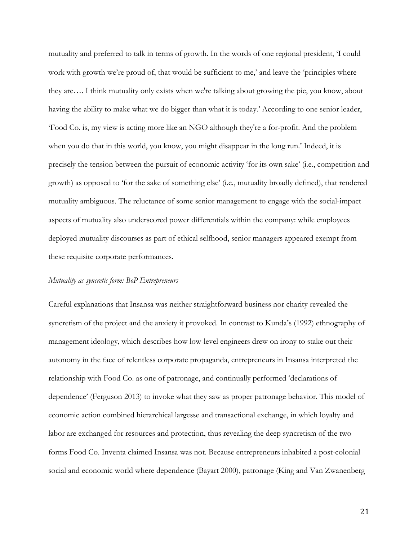mutuality and preferred to talk in terms of growth. In the words of one regional president, 'I could work with growth we're proud of, that would be sufficient to me,' and leave the 'principles where they are…. I think mutuality only exists when we're talking about growing the pie, you know, about having the ability to make what we do bigger than what it is today.' According to one senior leader, 'Food Co. is, my view is acting more like an NGO although they're a for-profit. And the problem when you do that in this world, you know, you might disappear in the long run.' Indeed, it is precisely the tension between the pursuit of economic activity 'for its own sake' (i.e., competition and growth) as opposed to 'for the sake of something else' (i.e., mutuality broadly defined), that rendered mutuality ambiguous. The reluctance of some senior management to engage with the social-impact aspects of mutuality also underscored power differentials within the company: while employees deployed mutuality discourses as part of ethical selfhood, senior managers appeared exempt from these requisite corporate performances.

### *Mutuality as syncretic form: BoP Entrepreneurs*

Careful explanations that Insansa was neither straightforward business nor charity revealed the syncretism of the project and the anxiety it provoked. In contrast to Kunda's (1992) ethnography of management ideology, which describes how low-level engineers drew on irony to stake out their autonomy in the face of relentless corporate propaganda, entrepreneurs in Insansa interpreted the relationship with Food Co. as one of patronage, and continually performed 'declarations of dependence' (Ferguson 2013) to invoke what they saw as proper patronage behavior. This model of economic action combined hierarchical largesse and transactional exchange, in which loyalty and labor are exchanged for resources and protection, thus revealing the deep syncretism of the two forms Food Co. Inventa claimed Insansa was not. Because entrepreneurs inhabited a post-colonial social and economic world where dependence (Bayart 2000), patronage (King and Van Zwanenberg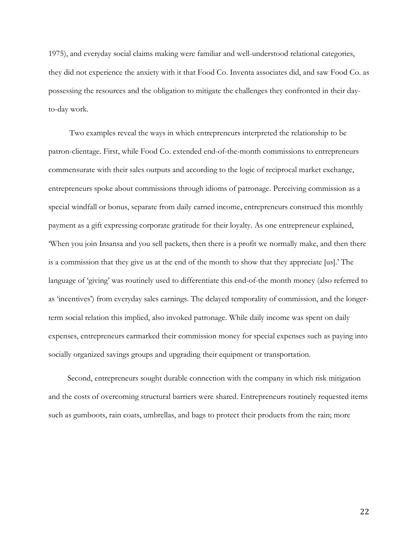1975), and everyday social claims making were familiar and well-understood relational categories, they did not experience the anxiety with it that Food Co. Inventa associates did, and saw Food Co. as possessing the resources and the obligation to mitigate the challenges they confronted in their dayto-day work.

Two examples reveal the ways in which entrepreneurs interpreted the relationship to be patron-clientage. First, while Food Co. extended end-of-the-month commissions to entrepreneurs commensurate with their sales outputs and according to the logic of reciprocal market exchange, entrepreneurs spoke about commissions through idioms of patronage. Perceiving commission as a special windfall or bonus, separate from daily earned income, entrepreneurs construed this monthly payment as a gift expressing corporate gratitude for their loyalty. As one entrepreneur explained, 'When you join Insansa and you sell packets, then there is a profit we normally make, and then there is a commission that they give us at the end of the month to show that they appreciate [us].' The language of 'giving' was routinely used to differentiate this end-of-the month money (also referred to as 'incentives') from everyday sales earnings. The delayed temporality of commission, and the longerterm social relation this implied, also invoked patronage. While daily income was spent on daily expenses, entrepreneurs earmarked their commission money for special expenses such as paying into socially organized savings groups and upgrading their equipment or transportation.

Second, entrepreneurs sought durable connection with the company in which risk mitigation and the costs of overcoming structural barriers were shared. Entrepreneurs routinely requested items such as gumboots, rain coats, umbrellas, and bags to protect their products from the rain; more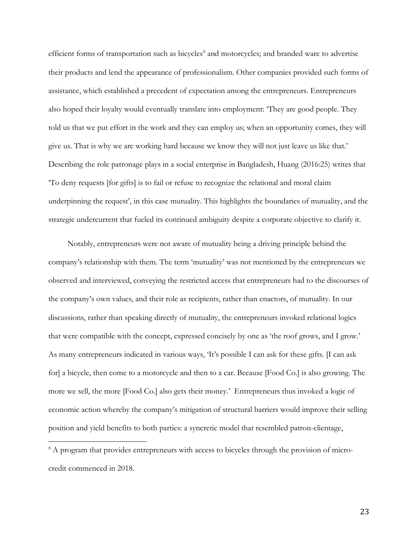efficient forms of transportation such as bicycles<sup>[8](#page-23-0)</sup> and motorcycles; and branded ware to advertise their products and lend the appearance of professionalism. Other companies provided such forms of assistance, which established a precedent of expectation among the entrepreneurs. Entrepreneurs also hoped their loyalty would eventually translate into employment: 'They are good people. They told us that we put effort in the work and they can employ us; when an opportunity comes, they will give us. That is why we are working hard because we know they will not just leave us like that.' Describing the role patronage plays in a social enterprise in Bangladesh, Huang (2016:25) writes that 'To deny requests [for gifts] is to fail or refuse to recognize the relational and moral claim underpinning the request', in this case mutuality. This highlights the boundaries of mutuality, and the strategic undercurrent that fueled its continued ambiguity despite a corporate objective to clarify it.

Notably, entrepreneurs were not aware of mutuality being a driving principle behind the company's relationship with them. The term 'mutuality' was not mentioned by the entrepreneurs we observed and interviewed, conveying the restricted access that entrepreneurs had to the discourses of the company's own values, and their role as recipients, rather than enactors, of mutuality. In our discussions, rather than speaking directly of mutuality, the entrepreneurs invoked relational logics that were compatible with the concept, expressed concisely by one as 'the roof grows, and I grow.' As many entrepreneurs indicated in various ways, 'It's possible I can ask for these gifts. [I can ask for] a bicycle, then come to a motorcycle and then to a car. Because [Food Co.] is also growing. The more we sell, the more [Food Co.] also gets their money.' Entrepreneurs thus invoked a logic of economic action whereby the company's mitigation of structural barriers would improve their selling position and yield benefits to both parties: a syncretic model that resembled patron-clientage,

<span id="page-23-0"></span> $8$  A program that provides entrepreneurs with access to bicycles through the provision of microcredit commenced in 2018.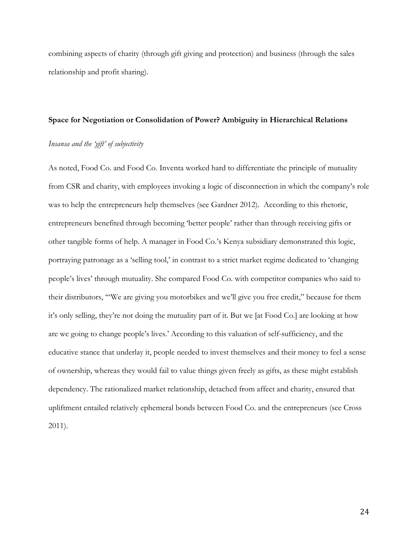combining aspects of charity (through gift giving and protection) and business (through the sales relationship and profit sharing).

# **Space for Negotiation or Consolidation of Power? Ambiguity in Hierarchical Relations**

# *Insansa and the 'gift' of subjectivity*

As noted, Food Co. and Food Co. Inventa worked hard to differentiate the principle of mutuality from CSR and charity, with employees invoking a logic of disconnection in which the company's role was to help the entrepreneurs help themselves (see Gardner 2012). According to this rhetoric, entrepreneurs benefited through becoming 'better people' rather than through receiving gifts or other tangible forms of help. A manager in Food Co.'s Kenya subsidiary demonstrated this logic, portraying patronage as a 'selling tool,' in contrast to a strict market regime dedicated to 'changing people's lives' through mutuality. She compared Food Co. with competitor companies who said to their distributors, '"We are giving you motorbikes and we'll give you free credit," because for them it's only selling, they're not doing the mutuality part of it. But we [at Food Co.] are looking at how are we going to change people's lives.' According to this valuation of self-sufficiency, and the educative stance that underlay it, people needed to invest themselves and their money to feel a sense of ownership, whereas they would fail to value things given freely as gifts, as these might establish dependency. The rationalized market relationship, detached from affect and charity, ensured that upliftment entailed relatively ephemeral bonds between Food Co. and the entrepreneurs (see Cross 2011).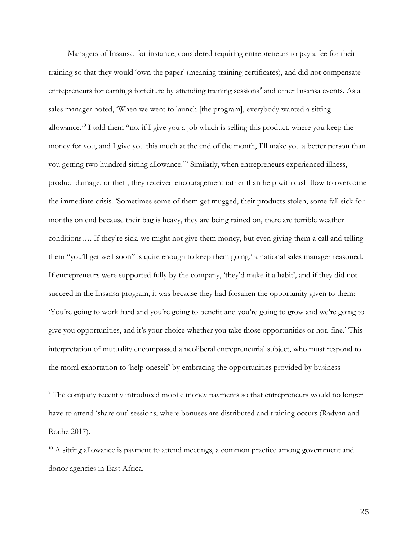Managers of Insansa, for instance, considered requiring entrepreneurs to pay a fee for their training so that they would 'own the paper' (meaning training certificates), and did not compensate entrepreneurs for earnings forfeiture by attending training sessions<sup>[9](#page-25-0)</sup> and other Insansa events. As a sales manager noted, 'When we went to launch [the program], everybody wanted a sitting allowance.[10](#page-25-1) I told them "no, if I give you a job which is selling this product, where you keep the money for you, and I give you this much at the end of the month, I'll make you a better person than you getting two hundred sitting allowance."' Similarly, when entrepreneurs experienced illness, product damage, or theft, they received encouragement rather than help with cash flow to overcome the immediate crisis. 'Sometimes some of them get mugged, their products stolen, some fall sick for months on end because their bag is heavy, they are being rained on, there are terrible weather conditions…. If they're sick, we might not give them money, but even giving them a call and telling them "you'll get well soon" is quite enough to keep them going,' a national sales manager reasoned. If entrepreneurs were supported fully by the company, 'they'd make it a habit', and if they did not succeed in the Insansa program, it was because they had forsaken the opportunity given to them: 'You're going to work hard and you're going to benefit and you're going to grow and we're going to give you opportunities, and it's your choice whether you take those opportunities or not, fine.' This interpretation of mutuality encompassed a neoliberal entrepreneurial subject, who must respond to the moral exhortation to 'help oneself' by embracing the opportunities provided by business

<span id="page-25-0"></span><sup>&</sup>lt;sup>9</sup> The company recently introduced mobile money payments so that entrepreneurs would no longer have to attend 'share out' sessions, where bonuses are distributed and training occurs (Radvan and Roche 2017).

<span id="page-25-1"></span><sup>&</sup>lt;sup>10</sup> A sitting allowance is payment to attend meetings, a common practice among government and donor agencies in East Africa.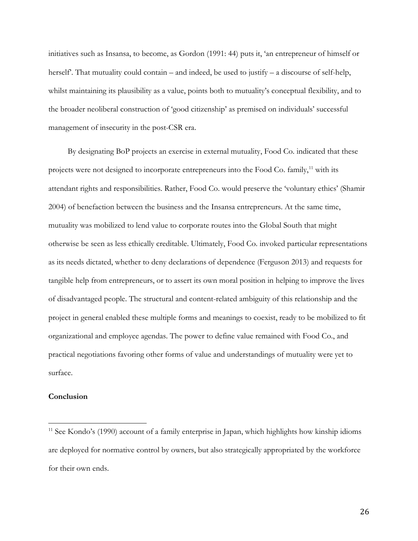initiatives such as Insansa, to become, as Gordon (1991: 44) puts it, 'an entrepreneur of himself or herself. That mutuality could contain – and indeed, be used to justify – a discourse of self-help, whilst maintaining its plausibility as a value, points both to mutuality's conceptual flexibility, and to the broader neoliberal construction of 'good citizenship' as premised on individuals' successful management of insecurity in the post-CSR era.

By designating BoP projects an exercise in external mutuality, Food Co. indicated that these projects were not designed to incorporate entrepreneurs into the Food Co. family,<sup>[11](#page-26-0)</sup> with its attendant rights and responsibilities. Rather, Food Co. would preserve the 'voluntary ethics' (Shamir 2004) of benefaction between the business and the Insansa entrepreneurs. At the same time, mutuality was mobilized to lend value to corporate routes into the Global South that might otherwise be seen as less ethically creditable. Ultimately, Food Co. invoked particular representations as its needs dictated, whether to deny declarations of dependence (Ferguson 2013) and requests for tangible help from entrepreneurs, or to assert its own moral position in helping to improve the lives of disadvantaged people. The structural and content-related ambiguity of this relationship and the project in general enabled these multiple forms and meanings to coexist, ready to be mobilized to fit organizational and employee agendas. The power to define value remained with Food Co., and practical negotiations favoring other forms of value and understandings of mutuality were yet to surface.

# **Conclusion**

<span id="page-26-0"></span> $11$  See Kondo's (1990) account of a family enterprise in Japan, which highlights how kinship idioms are deployed for normative control by owners, but also strategically appropriated by the workforce for their own ends.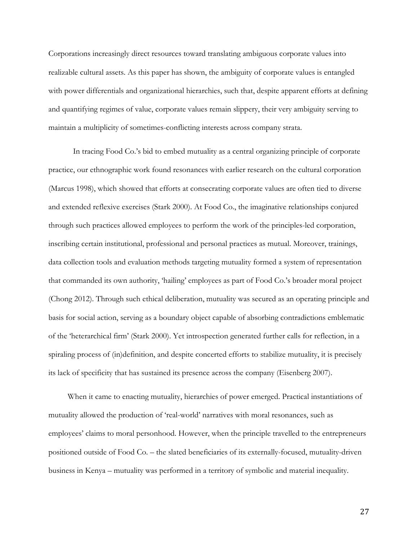Corporations increasingly direct resources toward translating ambiguous corporate values into realizable cultural assets. As this paper has shown, the ambiguity of corporate values is entangled with power differentials and organizational hierarchies, such that, despite apparent efforts at defining and quantifying regimes of value, corporate values remain slippery, their very ambiguity serving to maintain a multiplicity of sometimes-conflicting interests across company strata.

In tracing Food Co.'s bid to embed mutuality as a central organizing principle of corporate practice, our ethnographic work found resonances with earlier research on the cultural corporation (Marcus 1998), which showed that efforts at consecrating corporate values are often tied to diverse and extended reflexive exercises (Stark 2000). At Food Co., the imaginative relationships conjured through such practices allowed employees to perform the work of the principles-led corporation, inscribing certain institutional, professional and personal practices as mutual. Moreover, trainings, data collection tools and evaluation methods targeting mutuality formed a system of representation that commanded its own authority, 'hailing' employees as part of Food Co.'s broader moral project (Chong 2012). Through such ethical deliberation, mutuality was secured as an operating principle and basis for social action, serving as a boundary object capable of absorbing contradictions emblematic of the 'heterarchical firm' (Stark 2000). Yet introspection generated further calls for reflection, in a spiraling process of (in)definition, and despite concerted efforts to stabilize mutuality, it is precisely its lack of specificity that has sustained its presence across the company (Eisenberg 2007).

When it came to enacting mutuality, hierarchies of power emerged. Practical instantiations of mutuality allowed the production of 'real-world' narratives with moral resonances, such as employees' claims to moral personhood. However, when the principle travelled to the entrepreneurs positioned outside of Food Co. – the slated beneficiaries of its externally-focused, mutuality-driven business in Kenya – mutuality was performed in a territory of symbolic and material inequality.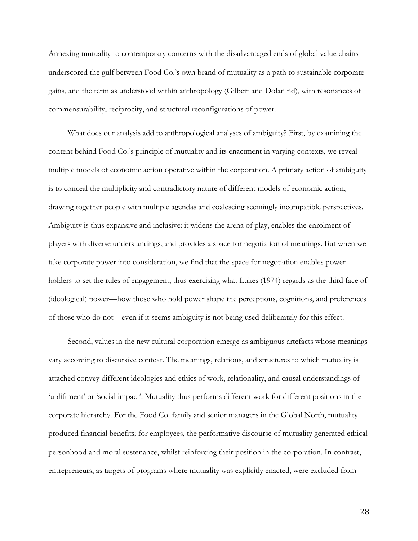Annexing mutuality to contemporary concerns with the disadvantaged ends of global value chains underscored the gulf between Food Co.'s own brand of mutuality as a path to sustainable corporate gains, and the term as understood within anthropology (Gilbert and Dolan nd), with resonances of commensurability, reciprocity, and structural reconfigurations of power.

What does our analysis add to anthropological analyses of ambiguity? First, by examining the content behind Food Co.'s principle of mutuality and its enactment in varying contexts, we reveal multiple models of economic action operative within the corporation. A primary action of ambiguity is to conceal the multiplicity and contradictory nature of different models of economic action, drawing together people with multiple agendas and coalescing seemingly incompatible perspectives. Ambiguity is thus expansive and inclusive: it widens the arena of play, enables the enrolment of players with diverse understandings, and provides a space for negotiation of meanings. But when we take corporate power into consideration, we find that the space for negotiation enables powerholders to set the rules of engagement, thus exercising what Lukes (1974) regards as the third face of (ideological) power—how those who hold power shape the perceptions, cognitions, and preferences of those who do not—even if it seems ambiguity is not being used deliberately for this effect.

Second, values in the new cultural corporation emerge as ambiguous artefacts whose meanings vary according to discursive context. The meanings, relations, and structures to which mutuality is attached convey different ideologies and ethics of work, relationality, and causal understandings of 'upliftment' or 'social impact'. Mutuality thus performs different work for different positions in the corporate hierarchy. For the Food Co. family and senior managers in the Global North, mutuality produced financial benefits; for employees, the performative discourse of mutuality generated ethical personhood and moral sustenance, whilst reinforcing their position in the corporation. In contrast, entrepreneurs, as targets of programs where mutuality was explicitly enacted, were excluded from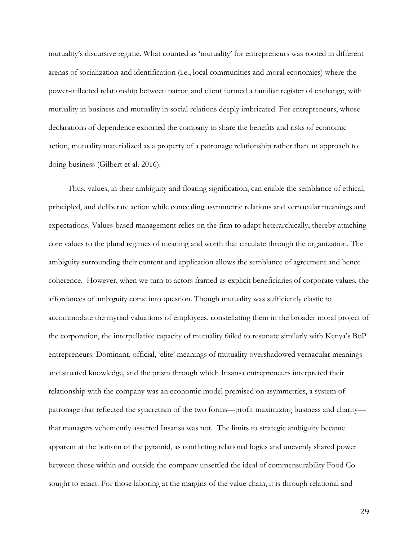mutuality's discursive regime. What counted as 'mutuality' for entrepreneurs was rooted in different arenas of socialization and identification (i.e., local communities and moral economies) where the power-inflected relationship between patron and client formed a familiar register of exchange, with mutuality in business and mutuality in social relations deeply imbricated. For entrepreneurs, whose declarations of dependence exhorted the company to share the benefits and risks of economic action, mutuality materialized as a property of a patronage relationship rather than an approach to doing business (Gilbert et al. 2016).

Thus, values, in their ambiguity and floating signification, can enable the semblance of ethical, principled, and deliberate action while concealing asymmetric relations and vernacular meanings and expectations. Values-based management relies on the firm to adapt heterarchically, thereby attaching core values to the plural regimes of meaning and worth that circulate through the organization. The ambiguity surrounding their content and application allows the semblance of agreement and hence coherence. However, when we turn to actors framed as explicit beneficiaries of corporate values, the affordances of ambiguity come into question. Though mutuality was sufficiently elastic to accommodate the myriad valuations of employees, constellating them in the broader moral project of the corporation, the interpellative capacity of mutuality failed to resonate similarly with Kenya's BoP entrepreneurs. Dominant, official, 'elite' meanings of mutuality overshadowed vernacular meanings and situated knowledge, and the prism through which Insansa entrepreneurs interpreted their relationship with the company was an economic model premised on asymmetries, a system of patronage that reflected the syncretism of the two forms—profit maximizing business and charity that managers vehemently asserted Insansa was not. The limits to strategic ambiguity became apparent at the bottom of the pyramid, as conflicting relational logics and unevenly shared power between those within and outside the company unsettled the ideal of commensurability Food Co. sought to enact. For those laboring at the margins of the value chain, it is through relational and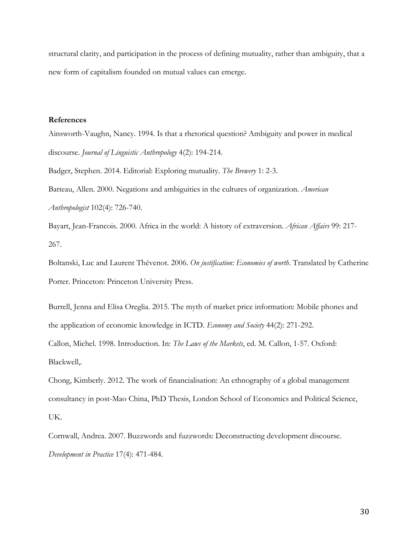structural clarity, and participation in the process of defining mutuality, rather than ambiguity, that a new form of capitalism founded on mutual values can emerge.

# **References**

Ainsworth-Vaughn, Nancy. 1994. Is that a rhetorical question? Ambiguity and power in medical discourse. *Journal of Linguistic Anthropology* 4(2): 194-214.

Badger, Stephen. 2014. Editorial: Exploring mutuality. *The Brewery* 1: 2-3.

Batteau, Allen. 2000. Negations and ambiguities in the cultures of organization. *American Anthropologist* 102(4): 726-740.

Bayart, Jean-Francois. 2000. Africa in the world: A history of extraversion. *African Affairs* 99: 217- 267.

Boltanski, Luc and Laurent Thévenot. 2006. *On justification: Economies of worth*. Translated by Catherine Porter. Princeton: Princeton University Press.

Burrell, Jenna and Elisa Oreglia. 2015. The myth of market price information: Mobile phones and the application of economic knowledge in ICTD. *Economy and Society* 44(2): 271-292. Callon, Michel. 1998. Introduction. In: *The Laws of the Markets*, ed. M. Callon, 1-57. Oxford: Blackwell,.

Chong, Kimberly. 2012. The work of financialisation: An ethnography of a global management consultancy in post-Mao China, PhD Thesis, London School of Economics and Political Science, UK.

Cornwall, Andrea. 2007. Buzzwords and fuzzwords: Deconstructing development discourse. *Development in Practice* 17(4): 471-484.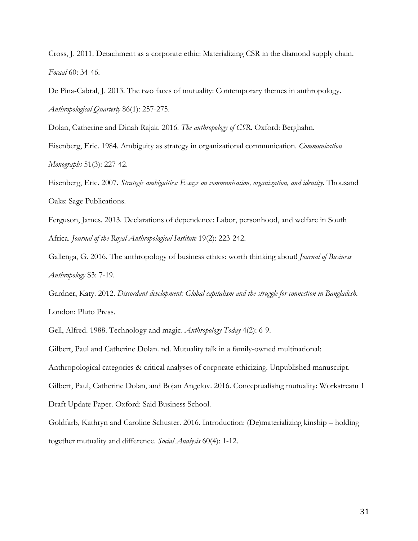Cross, J. 2011. Detachment as a corporate ethic: Materializing CSR in the diamond supply chain. *Focaal* 60: 34-46.

De Pina-Cabral, J. 2013. The two faces of mutuality: Contemporary themes in anthropology. *Anthropological Quarterly* 86(1): 257-275.

Dolan, Catherine and Dinah Rajak. 2016. *The anthropology of CSR*. Oxford: Berghahn.

Eisenberg, Eric. 1984. Ambiguity as strategy in organizational communication. *Communication Monographs* 51(3): 227-42.

Eisenberg, Eric. 2007. *Strategic ambiguities: Essays on communication, organization, and identity*. Thousand Oaks: Sage Publications.

Ferguson, James. 2013. Declarations of dependence: Labor, personhood, and welfare in South Africa. *Journal of the Royal Anthropological Institute* 19(2): 223-242.

Gallenga, G. 2016. The anthropology of business ethics: worth thinking about! *Journal of Business Anthropology* S3: 7-19.

Gardner, Katy. 2012. *Discordant development: Global capitalism and the struggle for connection in Bangladesh*. London: Pluto Press.

Gell, Alfred. 1988. Technology and magic. *Anthropology Today* 4(2): 6-9.

Gilbert, Paul and Catherine Dolan. nd. Mutuality talk in a family-owned multinational:

Anthropological categories & critical analyses of corporate ethicizing. Unpublished manuscript.

Gilbert, Paul, Catherine Dolan, and Bojan Angelov. 2016. Conceptualising mutuality: Workstream 1

Draft Update Paper. Oxford: Said Business School.

Goldfarb, Kathryn and Caroline Schuster. 2016. Introduction: (De)materializing kinship – holding together mutuality and difference. *Social Analysis* 60(4): 1-12.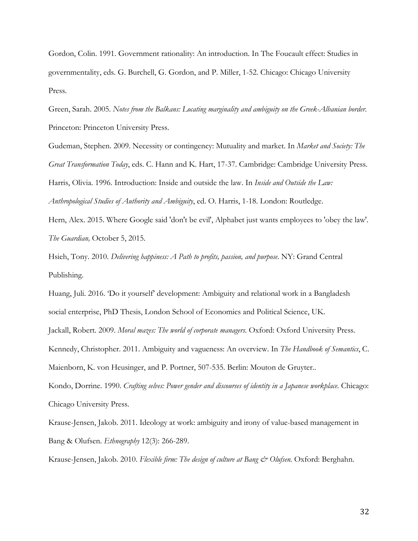Gordon, Colin. 1991. Government rationality: An introduction. In The Foucault effect: Studies in governmentality, eds. G. Burchell, G. Gordon, and P. Miller, 1-52. Chicago: Chicago University Press.

Green, Sarah. 2005. *Notes from the Balkans: Locating marginality and ambiguity on the Greek-Albanian border*. Princeton: Princeton University Press.

Gudeman, Stephen. 2009. Necessity or contingency: Mutuality and market. In *Market and Society: The Great Transformation Today*, eds. C. Hann and K. Hart, 17-37. Cambridge: Cambridge University Press. Harris, Olivia. 1996. Introduction: Inside and outside the law. In *Inside and Outside the Law: Anthropological Studies of Authority and Ambiguity*, ed. O. Harris, 1-18. London: Routledge.

Hern, Alex. 2015. Where Google said 'don't be evil', Alphabet just wants employees to 'obey the law'. *The Guardian,* October 5, 2015*.*

Hsieh, Tony. 2010. *Delivering happiness: A Path to profits, passion, and purpose*. NY: Grand Central Publishing.

Huang, Juli. 2016. 'Do it yourself' development: Ambiguity and relational work in a Bangladesh social enterprise, PhD Thesis, London School of Economics and Political Science, UK. Jackall, Robert. 2009. *Moral mazes: The world of corporate managers*. Oxford: Oxford University Press. Kennedy, Christopher. 2011. Ambiguity and vagueness: An overview. In *The Handbook of Semantics*, C. Maienborn, K. von Heusinger, and P. Portner, 507-535. Berlin: Mouton de Gruyter.. Kondo, Dorrine. 1990. *Crafting selves: Power gender and discourses of identity in a Japanese workplace*. Chicago:

Chicago University Press.

Krause-Jensen, Jakob. 2011. Ideology at work: ambiguity and irony of value-based management in Bang & Olufsen. *Ethnography* 12(3): 266-289.

Krause-Jensen, Jakob. 2010. *Flexible firm: The design of culture at Bang & Olufsen.* Oxford: Berghahn.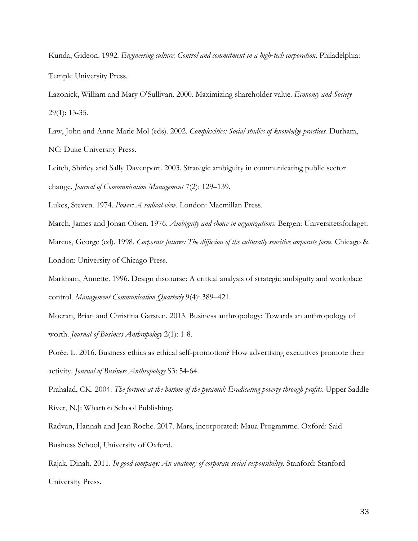Kunda, Gideon. 1992. *Engineering culture: Control and commitment in a high‐tech corporation*. Philadelphia: Temple University Press.

Lazonick, William and Mary O'Sullivan. 2000. Maximizing shareholder value. *Economy and Society* 29(1): 13-35.

Law, John and Anne Marie Mol (eds). 2002. *Complexities: Social studies of knowledge practices.* Durham, NC: Duke University Press.

Leitch, Shirley and Sally Davenport. 2003. Strategic ambiguity in communicating public sector change. *Journal of Communication Management* 7(2): 129–139.

Lukes, Steven. 1974. *Power: A radical view*. London: Macmillan Press.

March, James and Johan Olsen. 1976. *Ambiguity and choice in organizations*. Bergen: Universitetsforlaget. Marcus, George (ed). 1998. *Corporate futures: The diffusion of the culturally sensitive corporate form*. Chicago & London: University of Chicago Press.

Markham, Annette. 1996. Design discourse: A critical analysis of strategic ambiguity and workplace control. *Management Communication Quarterly* 9(4): 389–421.

Moeran, Brian and Christina Garsten. 2013. Business anthropology: Towards an anthropology of worth. *Journal of Business Anthropology* 2(1): 1-8.

Porée, L. 2016. Business ethics as ethical self-promotion? How advertising executives promote their activity. *Journal of Business Anthropology* S3: 54-64.

Prahalad, CK. 2004. *The fortune at the bottom of the pyramid: Eradicating poverty through profits*. Upper Saddle River, N.J: Wharton School Publishing.

Radvan, Hannah and Jean Roche. 2017. Mars, incorporated: Maua Programme. Oxford: Said Business School, University of Oxford.

Rajak, Dinah. 2011. *In good company: An anatomy of corporate social responsibility*. Stanford: Stanford University Press.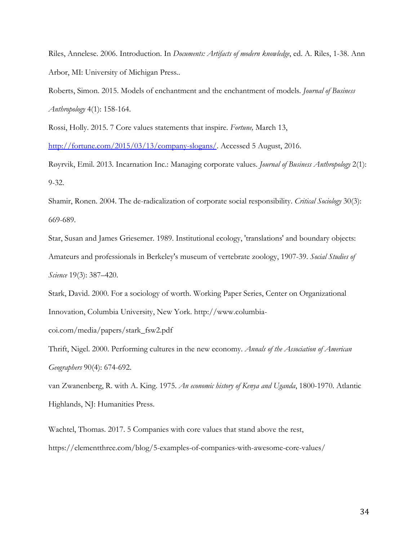Riles, Annelese. 2006. Introduction. In *Documents: Artifacts of modern knowledge*, ed. A. Riles, 1-38. Ann Arbor, MI: University of Michigan Press..

Roberts, Simon. 2015. Models of enchantment and the enchantment of models. *Journal of Business Anthropology* 4(1): 158-164.

Rossi, Holly. 2015. 7 Core values statements that inspire. *Fortune,* March 13,

[http://fortune.com/2015/03/13/company-slogans/.](http://fortune.com/2015/03/13/company-slogans/) Accessed 5 August, 2016.

Røyrvik, Emil. 2013. Incarnation Inc.: Managing corporate values. *Journal of Business Anthropology* 2(1): 9-32.

Shamir, Ronen. 2004. The de-radicalization of corporate social responsibility. *Critical Sociology* 30(3): 669-689.

Star, Susan and James Griesemer. 1989. Institutional ecology, 'translations' and boundary objects: Amateurs and professionals in Berkeley's museum of vertebrate zoology, 1907-39. *Social Studies of Science* 19(3): 387–420.

Stark, David. 2000. For a sociology of worth. Working Paper Series, Center on Organizational Innovation, Columbia University, New York. http://www.columbia-

coi.com/media/papers/stark\_fsw2.pdf

Thrift, Nigel. 2000. Performing cultures in the new economy. *Annals of the Association of American Geographers* 90(4): 674-692.

van Zwanenberg, R. with A. King. 1975. *An economic history of Kenya and Uganda*, 1800-1970. Atlantic Highlands, NJ: Humanities Press.

Wachtel, Thomas. 2017. 5 Companies with core values that stand above the rest, https://elementthree.com/blog/5-examples-of-companies-with-awesome-core-values/